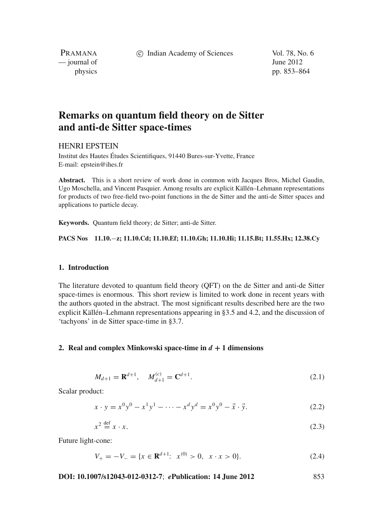c Indian Academy of Sciences Vol. 78, No. 6

PRAMANA  $\frac{1}{2}$  journal of June 2012

physics pp. 853–864

# **Remarks on quantum field theory on de Sitter and anti-de Sitter space-times**

# HENRI EPSTEIN

Institut des Hautes Études Scientifiques, 91440 Bures-sur-Yvette, France E-mail: epstein@ihes.fr

**Abstract.** This is a short review of work done in common with Jacques Bros, Michel Gaudin, Ugo Moschella, and Vincent Pasquier. Among results are explicit Källén–Lehmann representations for products of two free-field two-point functions in the de Sitter and the anti-de Sitter spaces and applications to particle decay.

**Keywords.** Quantum field theory; de Sitter; anti-de Sitter.

**PACS Nos 11.10.**−**z; 11.10.Cd; 11.10.Ef; 11.10.Gh; 11.10.Hi; 11.15.Bt; 11.55.Hx; 12.38.Cy**

# **1. Introduction**

The literature devoted to quantum field theory (QFT) on the de Sitter and anti-de Sitter space-times is enormous. This short review is limited to work done in recent years with the authors quoted in the abstract. The most significant results described here are the two explicit Källén–Lehmann representations appearing in §3.5 and 4.2, and the discussion of 'tachyons' in de Sitter space-time in §3.7.

## **2. Real and complex Minkowski space-time in**  $d + 1$  **dimensions**

$$
M_{d+1} = \mathbf{R}^{d+1}, \quad M_{d+1}^{(c)} = \mathbf{C}^{d+1}.
$$
 (2.1)

Scalar product:

$$
x \cdot y = x^0 y^0 - x^1 y^1 - \dots - x^d y^d = x^0 y^0 - \vec{x} \cdot \vec{y}.
$$
 (2.2)

$$
x^2 \stackrel{\text{def}}{=} x \cdot x. \tag{2.3}
$$

Future light-cone:

 $V_{+} = -V_{-} = \{x \in \mathbb{R}^{d+1}: x^{(0)} > 0, x \cdot x > 0\}.$  (2.4)

**DOI: 10.1007/s12043-012-0312-7**; *e***Publication: 14 June 2012** 853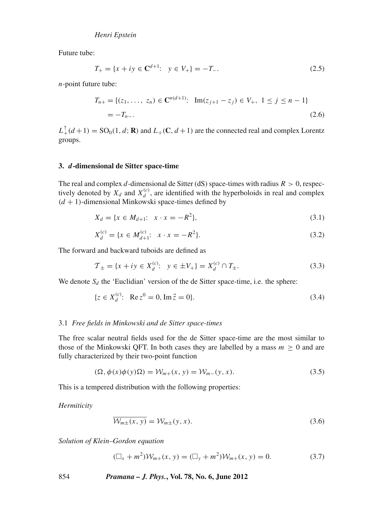Future tube:

$$
T_{+} = \{x + iy \in \mathbb{C}^{d+1}: y \in V_{+}\} = -T_{-}.
$$
\n(2.5)

*n*-point future tube:

$$
T_{n+} = \{ (z_1, \ldots, z_n) \in \mathbf{C}^{n(d+1)}: \ \mathrm{Im}(z_{j+1} - z_j) \in V_+, \ 1 \le j \le n-1 \}
$$
  
=  $-T_{n-}.$  (2.6)

 $L_+^{\uparrow}(d+1) = SO_0(1, d; \mathbf{R})$  and  $L_+ (\mathbf{C}, d+1)$  are the connected real and complex Lorentz groups.

### **3.** *d***-dimensional de Sitter space-time**

The real and complex *d*-dimensional de Sitter (dS) space-times with radius  $R > 0$ , respectively denoted by  $X_d$  and  $X_d^{(c)}$ , are identified with the hyperboloids in real and complex  $(d + 1)$ -dimensional Minkowski space-times defined by

$$
X_d = \{ x \in M_{d+1}: x \cdot x = -R^2 \},\tag{3.1}
$$

$$
X_d^{(c)} = \{x \in M_{d+1}^{(c)}: x \cdot x = -R^2\}.
$$
\n(3.2)

The forward and backward tuboids are defined as

$$
\mathcal{T}_{\pm} = \{ x + iy \in X_d^{(c)} : y \in \pm V_+ \} = X_d^{(c)} \cap T_{\pm}.
$$
\n(3.3)

We denote  $S_d$  the 'Euclidian' version of the de Sitter space-time, i.e. the sphere:

$$
\{z \in X_d^{(c)}: \ \text{Re}\, z^0 = 0, \text{Im}\,\vec{z} = 0\}.
$$
\n(3.4)

## 3.1 *Free fields in Minkowski and de Sitter space-times*

The free scalar neutral fields used for the de Sitter space-time are the most similar to those of the Minkowski QFT. In both cases they are labelled by a mass  $m \geq 0$  and are fully characterized by their two-point function

$$
(\Omega, \phi(x)\phi(y)\Omega) = \mathcal{W}_{m+}(x, y) = \mathcal{W}_{m-}(y, x). \tag{3.5}
$$

This is a tempered distribution with the following properties:

*Hermiticity*

$$
\overline{\mathcal{W}_{m\pm}(x, y)} = \mathcal{W}_{m\pm}(y, x). \tag{3.6}
$$

*Solution of Klein–Gordon equation*

$$
(\Box_x + m^2) \mathcal{W}_{m+}(x, y) = (\Box_y + m^2) \mathcal{W}_{m+}(x, y) = 0.
$$
 (3.7)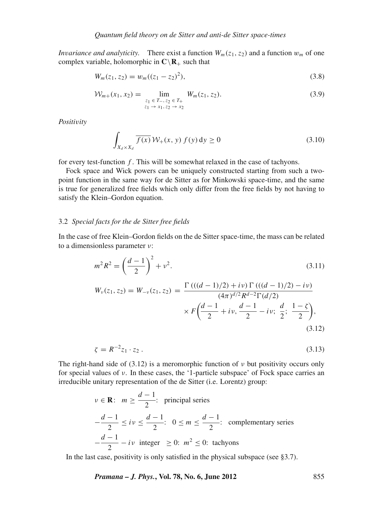*Invariance and analyticity.* There exist a function  $W_m(z_1, z_2)$  and a function  $w_m$  of one complex variable, holomorphic in  $\mathbb{C}\setminus\mathbb{R}_+$  such that

$$
W_m(z_1, z_2) = w_m((z_1 - z_2)^2), \tag{3.8}
$$

$$
\mathcal{W}_{m+}(x_1, x_2) = \lim_{\substack{z_1 \in T_{-}, z_2 \in T_{+} \\ z_1 \to x_1, z_2 \to x_2}} W_m(z_1, z_2). \tag{3.9}
$$

*Positi*v*ity*

$$
\int_{X_d \times X_d} \overline{f(x)} \, \mathcal{W}_+(x, y) \, f(y) \, \mathrm{d}y \ge 0 \tag{3.10}
$$

for every test-function *f* . This will be somewhat relaxed in the case of tachyons.

Fock space and Wick powers can be uniquely constructed starting from such a twopoint function in the same way for de Sitter as for Minkowski space-time, and the same is true for generalized free fields which only differ from the free fields by not having to satisfy the Klein–Gordon equation.

## 3.2 *Special facts for the de Sitter free fields*

In the case of free Klein–Gordon fields on the de Sitter space-time, the mass can be related to a dimensionless parameter ν:

$$
m^2 R^2 = \left(\frac{d-1}{2}\right)^2 + \nu^2.
$$
 (3.11)

$$
W_{\nu}(z_1, z_2) = W_{-\nu}(z_1, z_2) = \frac{\Gamma\left(((d-1)/2) + i\nu\right)\Gamma\left(((d-1)/2) - i\nu\right)}{(4\pi)^{d/2}R^{d-2}\Gamma(d/2)} \times F\left(\frac{d-1}{2} + i\nu, \frac{d-1}{2} - i\nu; \frac{d}{2}; \frac{1-\zeta}{2}\right),\tag{3.12}
$$

$$
\zeta = R^{-2} z_1 \cdot z_2 \,. \tag{3.13}
$$

The right-hand side of (3.12) is a meromorphic function of  $\nu$  but positivity occurs only for special values of ν. In these cases, the '1-particle subspace' of Fock space carries an irreducible unitary representation of the de Sitter (i.e. Lorentz) group:

$$
v \in \mathbf{R}
$$
:  $m \ge \frac{d-1}{2}$ : principal series  
\n $-\frac{d-1}{2} \le iv \le \frac{d-1}{2}$ :  $0 \le m \le \frac{d-1}{2}$ : complementary series  
\n $-\frac{d-1}{2} - iv$  integer  $\ge 0$ :  $m^2 \le 0$ : tachyons

In the last case, positivity is only satisfied in the physical subspace (see §3.7).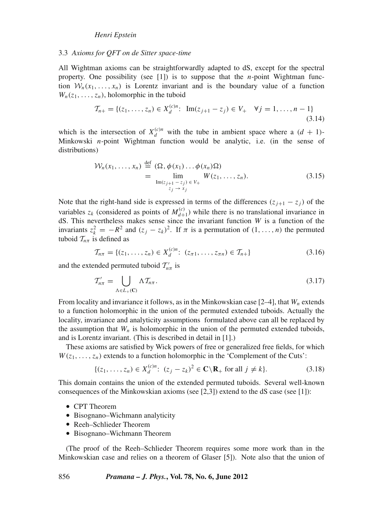## 3.3 *Axioms for QFT on de Sitter space-time*

All Wightman axioms can be straightforwardly adapted to dS, except for the spectral property. One possibility (see [1]) is to suppose that the *n*-point Wightman function  $\mathcal{W}_n(x_1,\ldots,x_n)$  is Lorentz invariant and is the boundary value of a function  $W_n(z_1, \ldots, z_n)$ , holomorphic in the tuboid

$$
\mathcal{T}_{n+} = \{ (z_1, \dots, z_n) \in X_d^{(c)n} \colon \operatorname{Im}(z_{j+1} - z_j) \in V_+ \quad \forall j = 1, \dots, n-1 \}
$$
\n(3.14)

which is the intersection of  $X_d^{(c)n}$  with the tube in ambient space where a  $(d + 1)$ -Minkowski *n*-point Wightman function would be analytic, i.e. (in the sense of distributions)

$$
\mathcal{W}_n(x_1, \dots, x_n) \stackrel{\text{def}}{=} (\Omega, \phi(x_1) \dots \phi(x_n) \Omega)
$$
  
= 
$$
\lim_{\substack{\text{Im}(z_{j+1} - z_j) \in V_+}} W(z_1, \dots, z_n).
$$
 (3.15)

Note that the right-hand side is expressed in terms of the differences  $(z_{i+1} - z_i)$  of the variables  $z_k$  (considered as points of  $M_{d+1}^{(c)}$ ) while there is no translational invariance in dS. This nevertheless makes sense since the invariant function *W* is a function of the invariants  $z_k^2 = -R^2$  and  $(z_j - z_k)^2$ . If  $\pi$  is a permutation of  $(1, \ldots, n)$  the permuted tuboid  $T_{n\pi}$  is defined as

$$
\mathcal{T}_{n\pi} = \{ (z_1, \dots, z_n) \in X_d^{(c)n}: (z_{\pi 1}, \dots, z_{\pi n}) \in \mathcal{T}_{n+} \}
$$
\n(3.16)

and the extended permuted tuboid  $T'_{n\pi}$  is

$$
\mathcal{T}'_{n\pi} = \bigcup_{\Lambda \in L_+(\mathbb{C})} \Lambda \mathcal{T}_{n\pi}.
$$
\n(3.17)

From locality and invariance it follows, as in the Minkowskian case [2–4], that *Wn* extends to a function holomorphic in the union of the permuted extended tuboids. Actually the locality, invariance and analyticity assumptions formulated above can all be replaced by the assumption that  $W_n$  is holomorphic in the union of the permuted extended tuboids, and is Lorentz invariant. (This is described in detail in [1].)

These axioms are satisfied by Wick powers of free or generalized free fields, for which  $W(z_1, \ldots, z_n)$  extends to a function holomorphic in the 'Complement of the Cuts':

$$
\{(z_1, \ldots, z_n) \in X_d^{(c)n}: (z_j - z_k)^2 \in \mathbf{C} \backslash \mathbf{R}_+ \text{ for all } j \neq k\}.
$$
 (3.18)

This domain contains the union of the extended permuted tuboids. Several well-known consequences of the Minkowskian axioms (see [2,3]) extend to the dS case (see [1]):

- CPT Theorem
- Bisognano–Wichmann analyticity
- Reeh–Schlieder Theorem
- Bisognano–Wichmann Theorem

(The proof of the Reeh–Schlieder Theorem requires some more work than in the Minkowskian case and relies on a theorem of Glaser [5]). Note also that the union of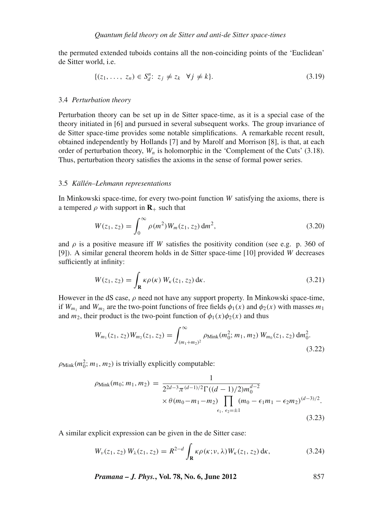the permuted extended tuboids contains all the non-coinciding points of the 'Euclidean' de Sitter world, i.e.

$$
\{(z_1, \ldots, z_n) \in S_d^n : z_j \neq z_k \quad \forall j \neq k\}.
$$
\n
$$
(3.19)
$$

#### 3.4 *Perturbation theory*

Perturbation theory can be set up in de Sitter space-time, as it is a special case of the theory initiated in [6] and pursued in several subsequent works. The group invariance of de Sitter space-time provides some notable simplifications. A remarkable recent result, obtained independently by Hollands [7] and by Marolf and Morrison [8], is that, at each order of perturbation theory,  $W_n$  is holomorphic in the 'Complement of the Cuts' (3.18). Thus, perturbation theory satisfies the axioms in the sense of formal power series.

## 3.5 *Källén–Lehmann representations*

In Minkowski space-time, for every two-point function *W* satisfying the axioms, there is a tempered  $\rho$  with support in  $\mathbf{R}_+$  such that

$$
W(z_1, z_2) = \int_0^\infty \rho(m^2) W_m(z_1, z_2) \, dm^2,
$$
\n(3.20)

and  $\rho$  is a positive measure iff *W* satisfies the positivity condition (see e.g. p. 360 of [9]). A similar general theorem holds in de Sitter space-time [10] provided *W* decreases sufficiently at infinity:

$$
W(z_1, z_2) = \int_{\mathbf{R}} \kappa \rho(\kappa) W_{\kappa}(z_1, z_2) \, \mathrm{d}\kappa. \tag{3.21}
$$

However in the dS case,  $\rho$  need not have any support property. In Minkowski space-time, if  $W_{m_1}$  and  $W_{m_2}$  are the two-point functions of free fields  $\phi_1(x)$  and  $\phi_2(x)$  with masses  $m_1$ and  $m_2$ , their product is the two-point function of  $\phi_1(x)\phi_2(x)$  and thus

$$
W_{m_1}(z_1, z_2)W_{m_2}(z_1, z_2) = \int_{(m_1 + m_2)^2}^{\infty} \rho_{\text{Mink}}(m_0^2; m_1, m_2) W_{m_0}(z_1, z_2) dm_0^2.
$$
\n(3.22)

 $\rho_{\text{Mink}}(m_0^2; m_1, m_2)$  is trivially explicitly computable:

$$
\rho_{\text{Mink}}(m_0; m_1, m_2) = \frac{1}{2^{2d-3}\pi^{(d-1)/2}\Gamma((d-1)/2)m_0^{d-2}} \times \theta(m_0 - m_1 - m_2) \prod_{\epsilon_1, \epsilon_2 = \pm 1} (m_0 - \epsilon_1 m_1 - \epsilon_2 m_2)^{(d-3)/2}.
$$
\n(3.23)

A similar explicit expression can be given in the de Sitter case:

$$
W_{\nu}(z_1, z_2) W_{\lambda}(z_1, z_2) = R^{2-d} \int_{\mathbf{R}} \kappa \rho(\kappa; \nu, \lambda) W_{\kappa}(z_1, z_2) d\kappa,
$$
 (3.24)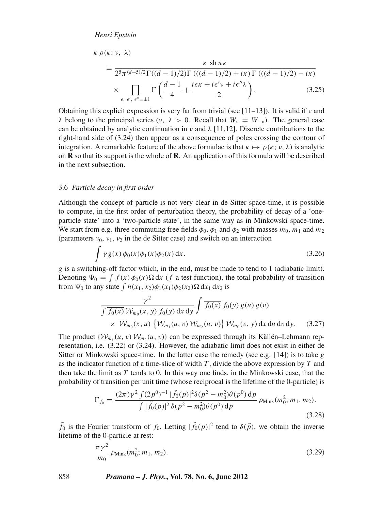$$
\kappa \rho(\kappa; \nu, \lambda)
$$
\n
$$
= \frac{\kappa \sin \pi \kappa}{2^5 \pi^{(d+5)/2} \Gamma((d-1)/2) \Gamma((d-1)/2) + i\kappa) \Gamma((d-1)/2) - i\kappa)} \times \prod_{\epsilon, \epsilon', \epsilon'' = \pm 1} \Gamma\left(\frac{d-1}{4} + \frac{i\epsilon \kappa + i\epsilon' \nu + i\epsilon'' \lambda}{2}\right).
$$
\n(3.25)

Obtaining this explicit expression is very far from trivial (see [11–13]). It is valid if  $\nu$  and  $λ$  belong to the principal series (*ν*,  $λ > 0$ . Recall that  $W<sub>ν</sub> = W<sub>−ν</sub>$ ). The general case can be obtained by analytic continuation in  $\nu$  and  $\lambda$  [11,12]. Discrete contributions to the right-hand side of (3.24) then appear as a consequence of poles crossing the contour of integration. A remarkable feature of the above formulae is that  $\kappa \mapsto \rho(\kappa; \nu, \lambda)$  is analytic on **R** so that its support is the whole of **R**. An application of this formula will be described in the next subsection.

#### 3.6 *Particle decay in first order*

Although the concept of particle is not very clear in de Sitter space-time, it is possible to compute, in the first order of perturbation theory, the probability of decay of a 'oneparticle state' into a 'two-particle state', in the same way as in Minkowski space-time. We start from e.g. three commuting free fields  $\phi_0$ ,  $\phi_1$  and  $\phi_2$  with masses  $m_0$ ,  $m_1$  and  $m_2$ (parameters  $v_0$ ,  $v_1$ ,  $v_2$  in the de Sitter case) and switch on an interaction

$$
\int \gamma g(x) \phi_0(x) \phi_1(x) \phi_2(x) dx.
$$
\n(3.26)

*g* is a switching-off factor which, in the end, must be made to tend to 1 (adiabatic limit). Denoting  $\Psi_0 = \int f(x) \phi_0(x) \Omega dx$  (*f* a test function), the total probability of transition from  $\Psi_0$  to any state  $\int h(x_1, x_2) \phi_1(x_1) \phi_2(x_2) \Omega \, dx_1 \, dx_2$  is

$$
\frac{\gamma^2}{\int \overline{f_0(x)} \, \mathcal{W}_{m_0}(x, y) \, f_0(y) \, dx \, dy} \int \overline{f_0(x)} \, f_0(y) \, g(u) \, g(v) \times \mathcal{W}_{m_0}(x, u) \, \left\{ \mathcal{W}_{m_1}(u, v) \, \mathcal{W}_{m_2}(u, v) \right\} \mathcal{W}_{m_0}(v, y) \, dx \, du \, dv \, dy. \tag{3.27}
$$

The product  $\{W_{m_1}(u, v) W_{m_2}(u, v)\}$  can be expressed through its Källén–Lehmann representation, i.e. (3.22) or (3.24). However, the adiabatic limit does not exist in either de Sitter or Minkowski space-time. In the latter case the remedy (see e.g. [14]) is to take *g* as the indicator function of a time-slice of width *T* , divide the above expression by *T* and then take the limit as *T* tends to 0. In this way one finds, in the Minkowski case, that the probability of transition per unit time (whose reciprocal is the lifetime of the 0-particle) is

$$
\Gamma_{f_0} = \frac{(2\pi)\gamma^2 \int (2p^0)^{-1} |\tilde{f}_0(p)|^2 \delta(p^2 - m_0^2) \theta(p^0) \, dp}{\int |\tilde{f}_0(p)|^2 \delta(p^2 - m_0^2) \theta(p^0) \, dp} \, \rho_{\text{Mink}}(m_0^2; m_1, m_2). \tag{3.28}
$$

 $\tilde{f}_0$  is the Fourier transform of  $f_0$ . Letting  $|\tilde{f}_0(p)|^2$  tend to  $\delta(\vec{p})$ , we obtain the inverse lifetime of the 0-particle at rest:

$$
\frac{\pi \gamma^2}{m_0} \rho_{\text{Mink}}(m_0^2; m_1, m_2). \tag{3.29}
$$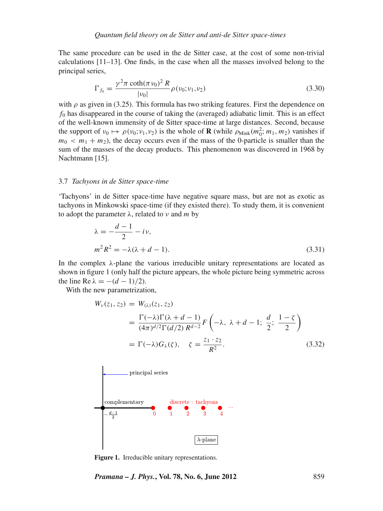The same procedure can be used in the de Sitter case, at the cost of some non-trivial calculations [11–13]. One finds, in the case when all the masses involved belong to the principal series,

$$
\Gamma_{f_0} = \frac{\gamma^2 \pi \coth(\pi \nu_0)^2 R}{|\nu_0|} \rho(\nu_0; \nu_1, \nu_2)
$$
\n(3.30)

with  $\rho$  as given in (3.25). This formula has two striking features. First the dependence on  $f_0$  has disappeared in the course of taking the (averaged) adiabatic limit. This is an effect of the well-known immensity of de Sitter space-time at large distances. Second, because the support of  $v_0 \mapsto \rho(v_0; v_1, v_2)$  is the whole of **R** (while  $\rho_{\text{Mink}}(m_0^2; m_1, m_2)$  vanishes if  $m_0 < m_1 + m_2$ ), the decay occurs even if the mass of the 0-particle is smaller than the sum of the masses of the decay products. This phenomenon was discovered in 1968 by Nachtmann [15].

#### 3.7 *Tachyons in de Sitter space-time*

'Tachyons' in de Sitter space-time have negative square mass, but are not as exotic as tachyons in Minkowski space-time (if they existed there). To study them, it is convenient to adopt the parameter λ, related to ν and *m* by

$$
\lambda = -\frac{d-1}{2} - i\nu,
$$
  
\n
$$
m^2 R^2 = -\lambda(\lambda + d - 1).
$$
\n(3.31)

In the complex  $\lambda$ -plane the various irreducible unitary representations are located as shown in figure 1 (only half the picture appears, the whole picture being symmetric across the line Re  $\lambda = -(d-1)/2$ .

With the new parametrization,

$$
W_{\nu}(z_1, z_2) = W_{(\lambda)}(z_1, z_2)
$$
  
=  $\frac{\Gamma(-\lambda)\Gamma(\lambda + d - 1)}{(4\pi)^{d/2}\Gamma(d/2) R^{d-2}} F\left(-\lambda, \lambda + d - 1; \frac{d}{2}; \frac{1 - \zeta}{2}\right)$   
=  $\Gamma(-\lambda)G_{\lambda}(\zeta), \quad \zeta = \frac{z_1 \cdot z_2}{R^2}.$  (3.32)



**Figure 1.** Irreducible unitary representations.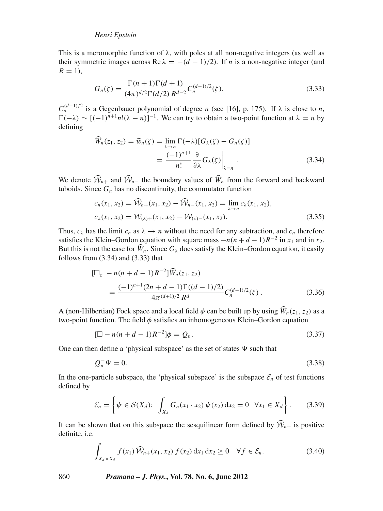This is a meromorphic function of  $\lambda$ , with poles at all non-negative integers (as well as their symmetric images across Re  $\lambda = -(d-1)/2$ ). If *n* is a non-negative integer (and  $R = 1$ ),

$$
G_n(\zeta) = \frac{\Gamma(n+1)\Gamma(d+1)}{(4\pi)^{d/2}\Gamma(d/2) R^{d-2}} C_n^{(d-1)/2}(\zeta).
$$
 (3.33)

 $C_n^{(d-1)/2}$  is a Gegenbauer polynomial of degree *n* (see [16], p. 175). If  $\lambda$  is close to *n*,  $\Gamma(-\lambda) \sim [(-1)^{n+1}n!(\lambda - n)]^{-1}$ . We can try to obtain a two-point function at  $\lambda = n$  by defining

$$
\widehat{W}_n(z_1, z_2) = \widehat{w}_n(\zeta) = \lim_{\lambda \to n} \Gamma(-\lambda) [G_\lambda(\zeta) - G_n(\zeta)]
$$

$$
= \frac{(-1)^{n+1}}{n!} \frac{\partial}{\partial \lambda} G_\lambda(\zeta) \Big|_{\lambda = n} . \tag{3.34}
$$

We denote  $W_{n+}$  and  $W_{n-}$  the boundary values of  $W_n$  from the forward and backward tuboids. Since  $G_n$  has no discontinuity, the commutator function

$$
c_n(x_1, x_2) = \hat{\mathcal{W}}_{n+}(x_1, x_2) - \hat{\mathcal{W}}_{n-}(x_1, x_2) = \lim_{\lambda \to n} c_\lambda(x_1, x_2),
$$
  
\n
$$
c_\lambda(x_1, x_2) = \mathcal{W}_{(\lambda)+}(x_1, x_2) - \mathcal{W}_{(\lambda)-}(x_1, x_2).
$$
\n(3.35)

Thus,  $c_{\lambda}$  has the limit  $c_n$  as  $\lambda \rightarrow n$  without the need for any subtraction, and  $c_n$  therefore satisfies the Klein–Gordon equation with square mass  $-n(n+d-1)R^{-2}$  in  $x_1$  and in  $x_2$ . But this is not the case for  $W_n$ . Since  $G_\lambda$  does satisfy the Klein–Gordon equation, it easily follows from (3.34) and (3.33) that follows from  $(3.34)$  and  $(3.33)$  that

$$
\begin{split} [\Box_{z_1} - n(n+d-1)R^{-2}] \widehat{W}_n(z_1, z_2) \\ &= \frac{(-1)^{n+1}(2n+d-1)\Gamma((d-1)/2)}{4\pi^{(d+1)/2}R^d} C_n^{(d-1)/2}(\zeta) \,. \end{split} \tag{3.36}
$$

A (non-Hilbertian) Fock space and a local field  $\phi$  can be built up by using  $W_n(z_1, z_2)$  as a two point function. The field  $\phi$  satisfies an inhomogeneous Klain. Gordon equation two-point function. The field  $\phi$  satisfies an inhomogeneous Klein–Gordon equation

$$
[\Box - n(n + d - 1)R^{-2}]\phi = Q_n.
$$
\n(3.37)

One can then define a 'physical subspace' as the set of states  $\Psi$  such that

$$
Q_n^-\Psi = 0.\tag{3.38}
$$

In the one-particle subspace, the 'physical subspace' is the subspace  $\mathcal{E}_n$  of test functions defined by

$$
\mathcal{E}_n = \left\{ \psi \in \mathcal{S}(X_d): \int_{X_d} G_n(x_1 \cdot x_2) \psi(x_2) \, \mathrm{d}x_2 = 0 \quad \forall x_1 \in X_d \right\}.
$$
 (3.39)

It can be shown that on this subspace the sesquilinear form defined by  $\mathcal{W}_{n+}$  is positive definite i.e. definite, i.e.

$$
\int_{X_d \times X_d} \overline{f(x_1)} \,\widehat{\mathcal{W}}_{n+}(x_1, x_2) \, f(x_2) \, \mathrm{d}x_1 \, \mathrm{d}x_2 \ge 0 \quad \forall f \in \mathcal{E}_n. \tag{3.40}
$$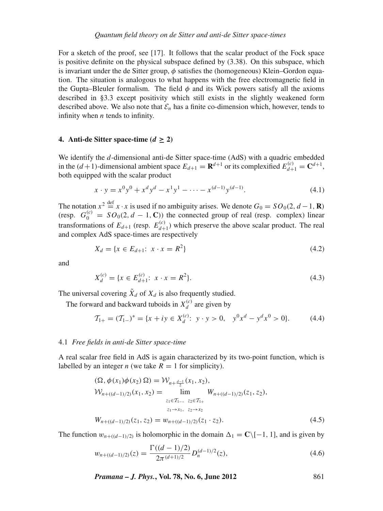For a sketch of the proof, see [17]. It follows that the scalar product of the Fock space is positive definite on the physical subspace defined by (3.38). On this subspace, which is invariant under the de Sitter group,  $\phi$  satisfies the (homogeneous) Klein–Gordon equation. The situation is analogous to what happens with the free electromagnetic field in the Gupta–Bleuler formalism. The field  $\phi$  and its Wick powers satisfy all the axioms described in §3.3 except positivity which still exists in the slightly weakened form described above. We also note that  $\mathcal{E}_n$  has a finite co-dimension which, however, tends to infinity when *n* tends to infinity.

## **4.** Anti-de Sitter space-time  $(d > 2)$

We identify the *d*-dimensional anti-de Sitter space-time (AdS) with a quadric embedded in the  $(d+1)$ -dimensional ambient space  $E_{d+1} = \mathbf{R}^{d+1}$  or its complexified  $E_{d+1}^{(c)} = \mathbf{C}^{d+1}$ , both equipped with the scalar product

$$
x \cdot y = x^0 y^0 + x^d y^d - x^1 y^1 - \dots - x^{(d-1)} y^{(d-1)}.
$$
\n(4.1)

The notation  $x^2 \stackrel{\text{def}}{=} x \cdot x$  is used if no ambiguity arises. We denote  $G_0 = SO_0(2, d-1, \mathbf{R})$ (resp.  $G_0^{(c)} = SO_0(2, d - 1, \mathbb{C})$ ) the connected group of real (resp. complex) linear transformations of  $E_{d+1}$  (resp.  $E_{d+1}^{(c)}$ ) which preserve the above scalar product. The real and complex AdS space-times are respectively

$$
X_d = \{x \in E_{d+1}: x \cdot x = R^2\}
$$
\n(4.2)

and

$$
X_d^{(c)} = \{x \in E_{d+1}^{(c)} : x \cdot x = R^2\}.
$$
\n(4.3)

The universal covering  $\tilde{X}_d$  of  $X_d$  is also frequently studied.

The forward and backward tuboids in  $X_d^{(c)}$  are given by

$$
\mathcal{T}_{1+} = (\mathcal{T}_{1-})^* = \{x + iy \in X_d^{(c)}: y \cdot y > 0, \quad y^0 x^d - y^d x^0 > 0\}.
$$
 (4.4)

#### 4.1 *Free fields in anti-de Sitter space-time*

A real scalar free field in AdS is again characterized by its two-point function, which is labelled by an integer *n* (we take  $R = 1$  for simplicity).

$$
(\Omega, \phi(x_1)\phi(x_2) \Omega) = \mathcal{W}_{n+\frac{d-1}{2}}(x_1, x_2),
$$
  
\n
$$
\mathcal{W}_{n+(d-1)/2)}(x_1, x_2) = \lim_{\substack{z_1 \in \mathcal{T}_{1-}, \ z_2 \in \mathcal{T}_{1+} \\ z_1 \to x_1, \ z_2 \to x_2}} W_{n+(d-1)/2)}(z_1, z_2),
$$
  
\n
$$
W_{n+(d-1)/2)}(z_1, z_2) = w_{n+(d-1)/2)}(z_1 \cdot z_2).
$$
\n(4.5)

The function  $w_{n+(d-1)/2}$  is holomorphic in the domain  $\Delta_1 = \mathbb{C} \setminus [-1, 1]$ , and is given by

$$
w_{n+((d-1)/2)}(z) = \frac{\Gamma((d-1)/2)}{2\pi^{(d+1)/2}} D_n^{(d-1)/2}(z), \tag{4.6}
$$

*Pramana – J. Phys.***, Vol. 78, No. 6, June 2012** 861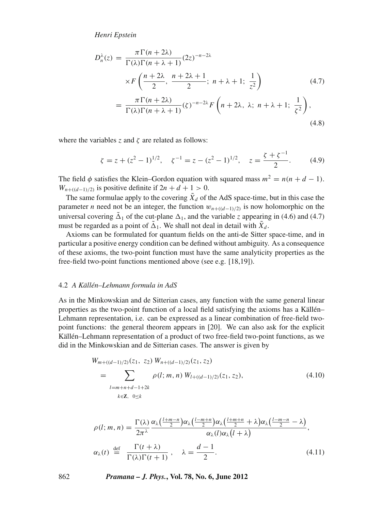$$
D_n^{\lambda}(z) = \frac{\pi \Gamma(n + 2\lambda)}{\Gamma(\lambda)\Gamma(n + \lambda + 1)} (2z)^{-n - 2\lambda}
$$
  
 
$$
\times F\left(\frac{n + 2\lambda}{2}, \frac{n + 2\lambda + 1}{2}; n + \lambda + 1; \frac{1}{z^2}\right)
$$
  
= 
$$
\frac{\pi \Gamma(n + 2\lambda)}{\Gamma(\lambda)\Gamma(n + \lambda + 1)} (\zeta)^{-n - 2\lambda} F\left(n + 2\lambda, \lambda; n + \lambda + 1; \frac{1}{\zeta^2}\right),
$$
  
(4.8)

where the variables  $\zeta$  and  $\zeta$  are related as follows:

$$
\zeta = z + (z^2 - 1)^{1/2}, \quad \zeta^{-1} = z - (z^2 - 1)^{1/2}, \quad z = \frac{\zeta + \zeta^{-1}}{2}.
$$
 (4.9)

The field  $\phi$  satisfies the Klein–Gordon equation with squared mass  $m^2 = n(n + d - 1)$ . *W<sub>n+((d-1)/2)* is positive definite if  $2n + d + 1 > 0$ .</sub>

The same formulae apply to the covering  $\tilde{X}_d$  of the AdS space-time, but in this case the parameter *n* need not be an integer, the function  $w_{n+((d-1)/2)}$  is now holomorphic on the universal covering  $\Delta_1$  of the cut-plane  $\Delta_1$ , and the variable *z* appearing in (4.6) and (4.7) must be regarded as a point of  $\tilde{\Delta}_1$ . We shall not deal in detail with  $\tilde{X}_d$ .

Axioms can be formulated for quantum fields on the anti-de Sitter space-time, and in particular a positive energy condition can be defined without ambiguity. As a consequence of these axioms, the two-point function must have the same analyticity properties as the free-field two-point functions mentioned above (see e.g. [18,19]).

#### 4.2 *A Källén–Lehmann formula in AdS*

As in the Minkowskian and de Sitterian cases, any function with the same general linear properties as the two-point function of a local field satisfying the axioms has a Källén– Lehmann representation, i.e. can be expressed as a linear combination of free-field twopoint functions: the general theorem appears in [20]. We can also ask for the explicit Källén–Lehmann representation of a product of two free-field two-point functions, as we did in the Minkowskian and de Sitterian cases. The answer is given by

$$
W_{m+(d-1)/2)}(z_1, z_2) W_{n+(d-1)/2)}(z_1, z_2)
$$
  
= 
$$
\sum_{l=m+n+d-1+2k} \rho(l; m, n) W_{l+(d-1)/2)}(z_1, z_2),
$$
 (4.10)

$$
\rho(l; m, n) = \frac{\Gamma(\lambda)}{2\pi^{\lambda}} \frac{\alpha_{\lambda}(\frac{l+m-n}{2})\alpha_{\lambda}(\frac{l-m+n}{2})\alpha_{\lambda}(\frac{l+m+n}{2} + \lambda)\alpha_{\lambda}(\frac{l-m-n}{2} - \lambda)}{\alpha_{\lambda}(l)\alpha_{\lambda}(l+\lambda)},
$$
  

$$
\alpha_{\lambda}(t) \stackrel{\text{def}}{=} \frac{\Gamma(t+\lambda)}{\Gamma(\lambda)\Gamma(t+1)}, \quad \lambda = \frac{d-1}{2}.
$$
 (4.11)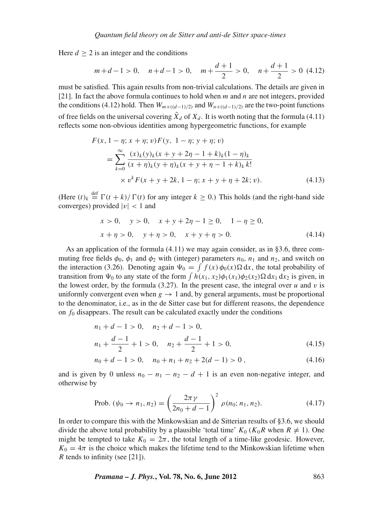Here  $d > 2$  is an integer and the conditions

$$
m+d-1>0
$$
,  $n+d-1>0$ ,  $m+\frac{d+1}{2}>0$ ,  $n+\frac{d+1}{2}>0$  (4.12)

must be satisfied. This again results from non-trivial calculations. The details are given in [21]. In fact the above formula continues to hold when *m* and *n* are not integers, provided the conditions (4.12) hold. Then  $W_{m+(d-1)/2)}$  and  $W_{n+(d-1)/2}$  are the two-point functions of free fields on the universal covering  $\tilde{X}_d$  of  $X_d$ . It is worth noting that the formula (4.11) reflects some non-obvious identities among hypergeometric functions, for example

$$
F(x, 1 - \eta; x + \eta; v)F(y, 1 - \eta; y + \eta; v)
$$
  
= 
$$
\sum_{k=0}^{\infty} \frac{(x)_k(y)_k(x + y + 2\eta - 1 + k)_k(1 - \eta)_k}{(x + \eta)_k(y + \eta)_k(x + y + \eta - 1 + k)_k k!}
$$
  
× 
$$
v^k F(x + y + 2k, 1 - \eta; x + y + \eta + 2k; v).
$$
 (4.13)

(Here  $(t)_k \stackrel{\text{def}}{=} \Gamma(t+k)/\Gamma(t)$  for any integer  $k \ge 0$ .) This holds (and the right-hand side converges) provided  $|v|$  < 1 and

$$
x > 0, \quad y > 0, \quad x + y + 2\eta - 1 \ge 0, \quad 1 - \eta \ge 0,
$$
  

$$
x + \eta > 0, \quad y + \eta > 0, \quad x + y + \eta > 0.
$$
 (4.14)

As an application of the formula (4.11) we may again consider, as in §3.6, three commuting free fields  $\phi_0$ ,  $\phi_1$  and  $\phi_2$  with (integer) parameters  $n_0$ ,  $n_1$  and  $n_2$ , and switch on the interaction (3.26). Denoting again  $\Psi_0 = \int f(x) \phi_0(x) \Omega dx$ , the total probability of transition from  $\Psi_0$  to any state of the form  $\int h(x_1, x_2) \phi_1(x_1) \phi_2(x_2) \Omega dx_1 dx_2$  is given, in the lowest order, by the formula  $(3.27)$ . In the present case, the integral over *u* and *v* is uniformly convergent even when  $g \to 1$  and, by general arguments, must be proportional to the denominator, i.e., as in the de Sitter case but for different reasons, the dependence on  $f_0$  disappears. The result can be calculated exactly under the conditions

$$
n_1 + d - 1 > 0, \quad n_2 + d - 1 > 0,
$$
  
\n
$$
n_1 + \frac{d - 1}{2} + 1 > 0, \quad n_2 + \frac{d - 1}{2} + 1 > 0,
$$
\n(4.15)

$$
n_0 + d - 1 > 0, \quad n_0 + n_1 + n_2 + 2(d - 1) > 0,
$$
\n
$$
(4.16)
$$

and is given by 0 unless  $n_0 - n_1 - n_2 - d + 1$  is an even non-negative integer, and otherwise by

Prob. 
$$
(\psi_0 \to n_1, n_2) = \left(\frac{2\pi\gamma}{2n_0 + d - 1}\right)^2 \rho(n_0; n_1, n_2).
$$
 (4.17)

In order to compare this with the Minkowskian and de Sitterian results of §3.6, we should divide the above total probability by a plausible 'total time'  $K_0$  ( $K_0R$  when  $R \neq 1$ ). One might be tempted to take  $K_0 = 2\pi$ , the total length of a time-like geodesic. However,  $K_0 = 4\pi$  is the choice which makes the lifetime tend to the Minkowskian lifetime when *R* tends to infinity (see [21]).

*Pramana – J. Phys.***, Vol. 78, No. 6, June 2012** 863